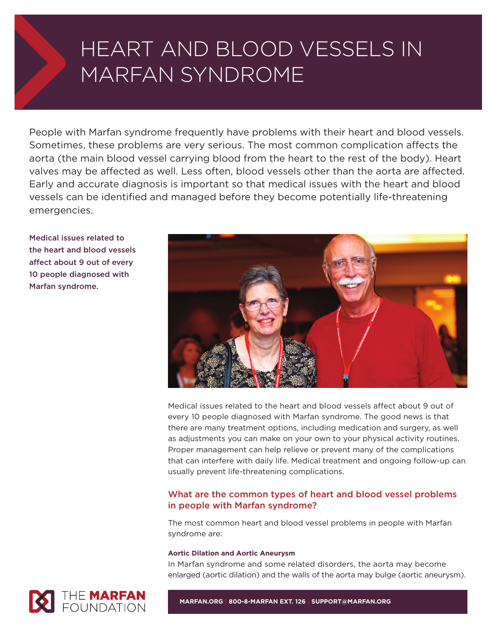# HEART AND BLOOD VESSELS IN MARFAN SYNDROME

People with Marfan syndrome frequently have problems with their heart and blood vessels. Sometimes, these problems are very serious. The most common complication affects the aorta (the main blood vessel carrying blood from the heart to the rest of the body). Heart valves may be affected as well. Less often, blood vessels other than the aorta are affected. Early and accurate diagnosis is important so that medical issues with the heart and blood vessels can be identified and managed before they become potentially life-threatening emergencies.

**Medical issues related to the heart and blood vessels affect about 9 out of every 10 people diagnosed with Marfan syndrome.**



Medical issues related to the heart and blood vessels affect about 9 out of every 10 people diagnosed with Marfan syndrome. The good news is that there are many treatment options, including medication and surgery, as well as adjustments you can make on your own to your physical activity routines. Proper management can help relieve or prevent many of the complications that can interfere with daily life. Medical treatment and ongoing follow-up can usually prevent life-threatening complications.

## **What are the common types of heart and blood vessel problems in people with Marfan syndrome?**

The most common heart and blood vessel problems in people with Marfan syndrome are:

## **Aortic Dilation and Aortic Aneurysm**

In Marfan syndrome and some related disorders, the aorta may become enlarged (aortic dilation) and the walls of the aorta may bulge (aortic aneurysm).



**MARFAN.ORG | 800-8-MARFAN EXT. 126 | SUPPORT@MARFAN.ORG**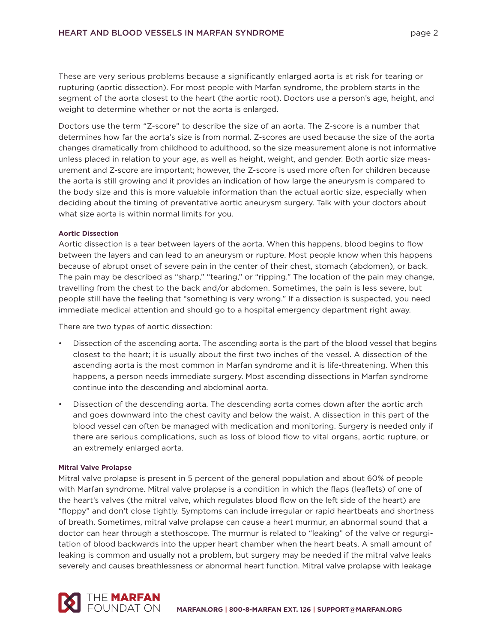These are very serious problems because a significantly enlarged aorta is at risk for tearing or rupturing (aortic dissection). For most people with Marfan syndrome, the problem starts in the segment of the aorta closest to the heart (the aortic root). Doctors use a person's age, height, and weight to determine whether or not the aorta is enlarged.

Doctors use the term "Z-score" to describe the size of an aorta. The Z-score is a number that determines how far the aorta's size is from normal. Z-scores are used because the size of the aorta changes dramatically from childhood to adulthood, so the size measurement alone is not informative unless placed in relation to your age, as well as height, weight, and gender. Both aortic size measurement and Z-score are important; however, the Z-score is used more often for children because the aorta is still growing and it provides an indication of how large the aneurysm is compared to the body size and this is more valuable information than the actual aortic size, especially when deciding about the timing of preventative aortic aneurysm surgery. Talk with your doctors about what size aorta is within normal limits for you.

## **Aortic Dissection**

Aortic dissection is a tear between layers of the aorta. When this happens, blood begins to flow between the layers and can lead to an aneurysm or rupture. Most people know when this happens because of abrupt onset of severe pain in the center of their chest, stomach (abdomen), or back. The pain may be described as "sharp," "tearing," or "ripping." The location of the pain may change, travelling from the chest to the back and/or abdomen. Sometimes, the pain is less severe, but people still have the feeling that "something is very wrong." If a dissection is suspected, you need immediate medical attention and should go to a hospital emergency department right away.

There are two types of aortic dissection:

- Dissection of the ascending aorta. The ascending aorta is the part of the blood vessel that begins closest to the heart; it is usually about the first two inches of the vessel. A dissection of the ascending aorta is the most common in Marfan syndrome and it is life-threatening. When this happens, a person needs immediate surgery. Most ascending dissections in Marfan syndrome continue into the descending and abdominal aorta.
- Dissection of the descending aorta. The descending aorta comes down after the aortic arch and goes downward into the chest cavity and below the waist. A dissection in this part of the blood vessel can often be managed with medication and monitoring. Surgery is needed only if there are serious complications, such as loss of blood flow to vital organs, aortic rupture, or an extremely enlarged aorta.

#### **Mitral Valve Prolapse**

Mitral valve prolapse is present in 5 percent of the general population and about 60% of people with Marfan syndrome. Mitral valve prolapse is a condition in which the flaps (leaflets) of one of the heart's valves (the mitral valve, which regulates blood flow on the left side of the heart) are "floppy" and don't close tightly. Symptoms can include irregular or rapid heartbeats and shortness of breath. Sometimes, mitral valve prolapse can cause a heart murmur, an abnormal sound that a doctor can hear through a stethoscope. The murmur is related to "leaking" of the valve or regurgitation of blood backwards into the upper heart chamber when the heart beats. A small amount of leaking is common and usually not a problem, but surgery may be needed if the mitral valve leaks severely and causes breathlessness or abnormal heart function. Mitral valve prolapse with leakage

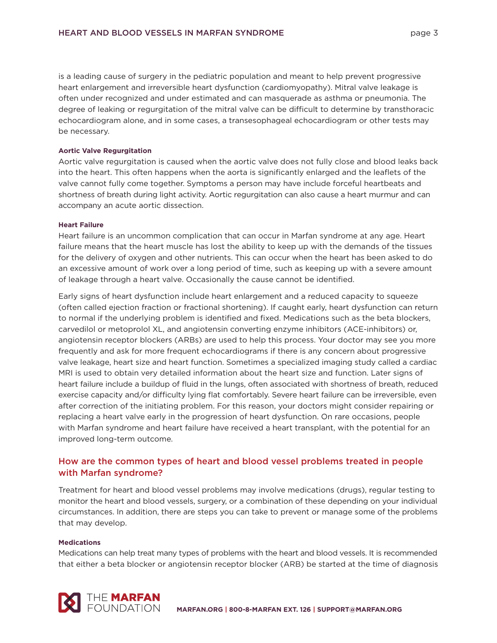is a leading cause of surgery in the pediatric population and meant to help prevent progressive heart enlargement and irreversible heart dysfunction (cardiomyopathy). Mitral valve leakage is often under recognized and under estimated and can masquerade as asthma or pneumonia. The degree of leaking or regurgitation of the mitral valve can be difficult to determine by transthoracic echocardiogram alone, and in some cases, a transesophageal echocardiogram or other tests may be necessary.

### **Aortic Valve Regurgitation**

Aortic valve regurgitation is caused when the aortic valve does not fully close and blood leaks back into the heart. This often happens when the aorta is significantly enlarged and the leaflets of the valve cannot fully come together. Symptoms a person may have include forceful heartbeats and shortness of breath during light activity. Aortic regurgitation can also cause a heart murmur and can accompany an acute aortic dissection.

## **Heart Failure**

Heart failure is an uncommon complication that can occur in Marfan syndrome at any age. Heart failure means that the heart muscle has lost the ability to keep up with the demands of the tissues for the delivery of oxygen and other nutrients. This can occur when the heart has been asked to do an excessive amount of work over a long period of time, such as keeping up with a severe amount of leakage through a heart valve. Occasionally the cause cannot be identified.

Early signs of heart dysfunction include heart enlargement and a reduced capacity to squeeze (often called ejection fraction or fractional shortening). If caught early, heart dysfunction can return to normal if the underlying problem is identified and fixed. Medications such as the beta blockers, carvedilol or metoprolol XL, and angiotensin converting enzyme inhibitors (ACE-inhibitors) or, angiotensin receptor blockers (ARBs) are used to help this process. Your doctor may see you more frequently and ask for more frequent echocardiograms if there is any concern about progressive valve leakage, heart size and heart function. Sometimes a specialized imaging study called a cardiac MRI is used to obtain very detailed information about the heart size and function. Later signs of heart failure include a buildup of fluid in the lungs, often associated with shortness of breath, reduced exercise capacity and/or difficulty lying flat comfortably. Severe heart failure can be irreversible, even after correction of the initiating problem. For this reason, your doctors might consider repairing or replacing a heart valve early in the progression of heart dysfunction. On rare occasions, people with Marfan syndrome and heart failure have received a heart transplant, with the potential for an improved long-term outcome.

# **How are the common types of heart and blood vessel problems treated in people with Marfan syndrome?**

Treatment for heart and blood vessel problems may involve medications (drugs), regular testing to monitor the heart and blood vessels, surgery, or a combination of these depending on your individual circumstances. In addition, there are steps you can take to prevent or manage some of the problems that may develop.

#### **Medications**

Medications can help treat many types of problems with the heart and blood vessels. It is recommended that either a beta blocker or angiotensin receptor blocker (ARB) be started at the time of diagnosis

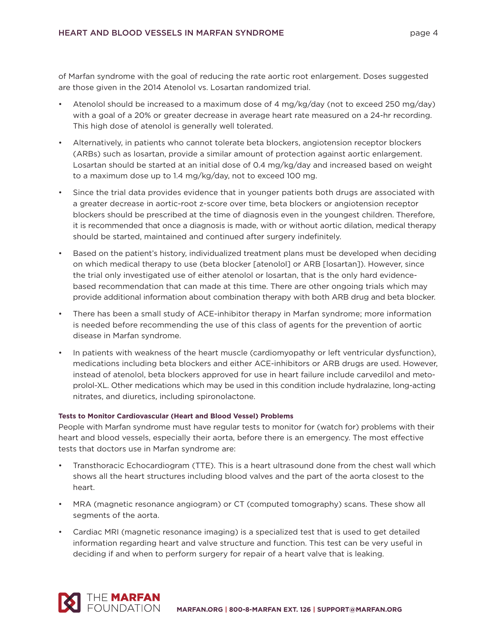of Marfan syndrome with the goal of reducing the rate aortic root enlargement. Doses suggested are those given in the 2014 Atenolol vs. Losartan randomized trial.

- Atenolol should be increased to a maximum dose of 4 mg/kg/day (not to exceed 250 mg/day) with a goal of a 20% or greater decrease in average heart rate measured on a 24-hr recording. This high dose of atenolol is generally well tolerated.
- Alternatively, in patients who cannot tolerate beta blockers, angiotension receptor blockers (ARBs) such as losartan, provide a similar amount of protection against aortic enlargement. Losartan should be started at an initial dose of 0.4 mg/kg/day and increased based on weight to a maximum dose up to 1.4 mg/kg/day, not to exceed 100 mg.
- Since the trial data provides evidence that in younger patients both drugs are associated with a greater decrease in aortic-root z-score over time, beta blockers or angiotension receptor blockers should be prescribed at the time of diagnosis even in the youngest children. Therefore, it is recommended that once a diagnosis is made, with or without aortic dilation, medical therapy should be started, maintained and continued after surgery indefinitely.
- Based on the patient's history, individualized treatment plans must be developed when deciding on which medical therapy to use (beta blocker [atenolol] or ARB [losartan]). However, since the trial only investigated use of either atenolol or losartan, that is the only hard evidencebased recommendation that can made at this time. There are other ongoing trials which may provide additional information about combination therapy with both ARB drug and beta blocker.
- There has been a small study of ACE-inhibitor therapy in Marfan syndrome; more information is needed before recommending the use of this class of agents for the prevention of aortic disease in Marfan syndrome.
- In patients with weakness of the heart muscle (cardiomyopathy or left ventricular dysfunction), medications including beta blockers and either ACE-inhibitors or ARB drugs are used. However, instead of atenolol, beta blockers approved for use in heart failure include carvedilol and metoprolol-XL. Other medications which may be used in this condition include hydralazine, long-acting nitrates, and diuretics, including spironolactone.

## **Tests to Monitor Cardiovascular (Heart and Blood Vessel) Problems**

People with Marfan syndrome must have regular tests to monitor for (watch for) problems with their heart and blood vessels, especially their aorta, before there is an emergency. The most effective tests that doctors use in Marfan syndrome are:

- Transthoracic Echocardiogram (TTE). This is a heart ultrasound done from the chest wall which shows all the heart structures including blood valves and the part of the aorta closest to the heart.
- MRA (magnetic resonance angiogram) or CT (computed tomography) scans. These show all segments of the aorta.
- Cardiac MRI (magnetic resonance imaging) is a specialized test that is used to get detailed information regarding heart and valve structure and function. This test can be very useful in deciding if and when to perform surgery for repair of a heart valve that is leaking.

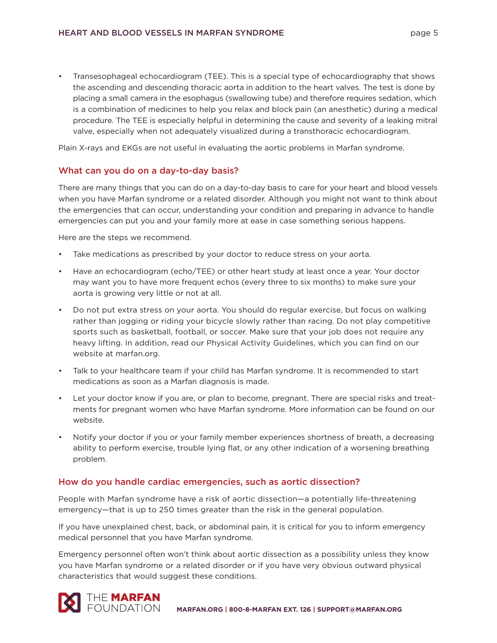• Transesophageal echocardiogram (TEE). This is a special type of echocardiography that shows the ascending and descending thoracic aorta in addition to the heart valves. The test is done by placing a small camera in the esophagus (swallowing tube) and therefore requires sedation, which is a combination of medicines to help you relax and block pain (an anesthetic) during a medical procedure. The TEE is especially helpful in determining the cause and severity of a leaking mitral valve, especially when not adequately visualized during a transthoracic echocardiogram.

Plain X-rays and EKGs are not useful in evaluating the aortic problems in Marfan syndrome.

## **What can you do on a day-to-day basis?**

There are many things that you can do on a day-to-day basis to care for your heart and blood vessels when you have Marfan syndrome or a related disorder. Although you might not want to think about the emergencies that can occur, understanding your condition and preparing in advance to handle emergencies can put you and your family more at ease in case something serious happens.

Here are the steps we recommend.

- Take medications as prescribed by your doctor to reduce stress on your aorta.
- Have an echocardiogram (echo/TEE) or other heart study at least once a year. Your doctor may want you to have more frequent echos (every three to six months) to make sure your aorta is growing very little or not at all.
- Do not put extra stress on your aorta. You should do regular exercise, but focus on walking rather than jogging or riding your bicycle slowly rather than racing. Do not play competitive sports such as basketball, football, or soccer. Make sure that your job does not require any heavy lifting. In addition, read our Physical Activity Guidelines, which you can find on our website at marfan.org.
- Talk to your healthcare team if your child has Marfan syndrome. It is recommended to start medications as soon as a Marfan diagnosis is made.
- Let your doctor know if you are, or plan to become, pregnant. There are special risks and treatments for pregnant women who have Marfan syndrome. More information can be found on our website.
- Notify your doctor if you or your family member experiences shortness of breath, a decreasing ability to perform exercise, trouble lying flat, or any other indication of a worsening breathing problem.

## **How do you handle cardiac emergencies, such as aortic dissection?**

People with Marfan syndrome have a risk of aortic dissection—a potentially life-threatening emergency—that is up to 250 times greater than the risk in the general population.

If you have unexplained chest, back, or abdominal pain, it is critical for you to inform emergency medical personnel that you have Marfan syndrome.

Emergency personnel often won't think about aortic dissection as a possibility unless they know you have Marfan syndrome or a related disorder or if you have very obvious outward physical characteristics that would suggest these conditions.

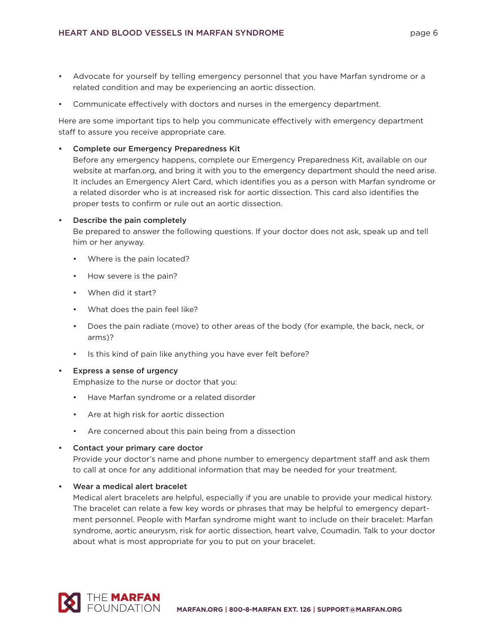- Advocate for yourself by telling emergency personnel that you have Marfan syndrome or a related condition and may be experiencing an aortic dissection.
- Communicate effectively with doctors and nurses in the emergency department.

Here are some important tips to help you communicate effectively with emergency department staff to assure you receive appropriate care.

**• Complete our Emergency Preparedness Kit**

Before any emergency happens, complete our Emergency Preparedness Kit, available on our website at marfan.org, and bring it with you to the emergency department should the need arise. It includes an Emergency Alert Card, which identifies you as a person with Marfan syndrome or a related disorder who is at increased risk for aortic dissection. This card also identifies the proper tests to confirm or rule out an aortic dissection.

## **• Describe the pain completely**

Be prepared to answer the following questions. If your doctor does not ask, speak up and tell him or her anyway.

- Where is the pain located?
- How severe is the pain?
- When did it start?
- What does the pain feel like?
- Does the pain radiate (move) to other areas of the body (for example, the back, neck, or arms)?
- Is this kind of pain like anything you have ever felt before?

#### **• Express a sense of urgency**

Emphasize to the nurse or doctor that you:

- Have Marfan syndrome or a related disorder
- Are at high risk for aortic dissection
- Are concerned about this pain being from a dissection

#### **• Contact your primary care doctor**

Provide your doctor's name and phone number to emergency department staff and ask them to call at once for any additional information that may be needed for your treatment.

**• Wear a medical alert bracelet**

Medical alert bracelets are helpful, especially if you are unable to provide your medical history. The bracelet can relate a few key words or phrases that may be helpful to emergency department personnel. People with Marfan syndrome might want to include on their bracelet: Marfan syndrome, aortic aneurysm, risk for aortic dissection, heart valve, Coumadin. Talk to your doctor about what is most appropriate for you to put on your bracelet.